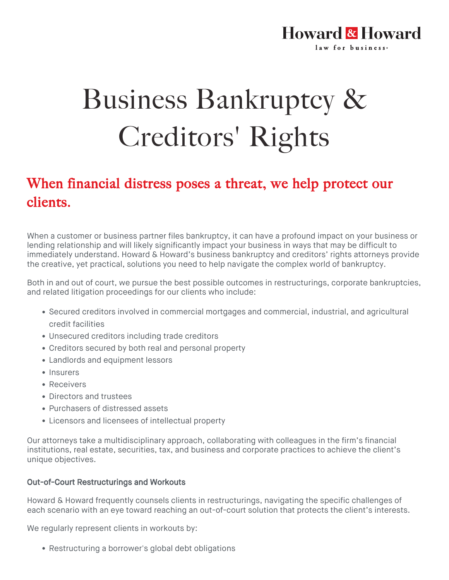### **Howard & Howard** law for business.

# Business Bankruptcy & Creditors' Rights

## When financial distress poses a threat, we help protect our clients.

When a customer or business partner files bankruptcy, it can have a profound impact on your business or lending relationship and will likely significantly impact your business in ways that may be difficult to immediately understand. Howard & Howard's business bankruptcy and creditors' rights attorneys provide the creative, yet practical, solutions you need to help navigate the complex world of bankruptcy.

Both in and out of court, we pursue the best possible outcomes in restructurings, corporate bankruptcies, and related litigation proceedings for our clients who include:

- Secured creditors involved in commercial mortgages and commercial, industrial, and agricultural credit facilities
- Unsecured creditors including trade creditors
- Creditors secured by both real and personal property
- Landlords and equipment lessors
- Insurers
- Receivers
- Directors and trustees
- Purchasers of distressed assets
- Licensors and licensees of intellectual property

Our attorneys take a multidisciplinary approach, collaborating with colleagues in the firm's financial institutions, real estate, securities, tax, and business and corporate practices to achieve the client's unique objectives.

#### Out-of-Court Restructurings and Workouts

Howard & Howard frequently counsels clients in restructurings, navigating the specific challenges of each scenario with an eye toward reaching an out-of-court solution that protects the client's interests.

We regularly represent clients in workouts by:

Restructuring a borrower's global debt obligations